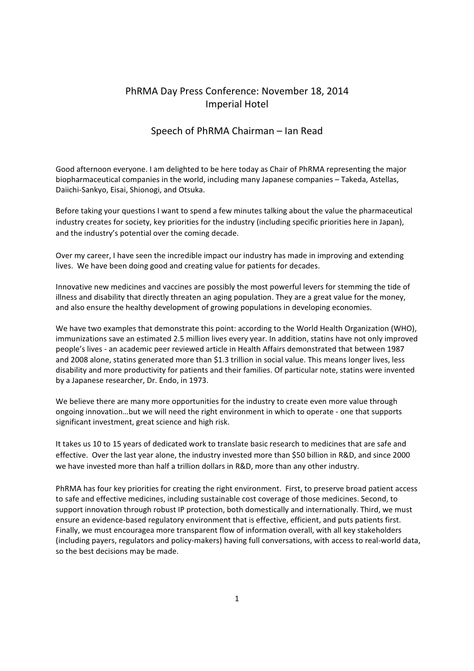## PhRMA Day Press Conference: November 18, 2014 Imperial Hotel

## Speech of PhRMA Chairman – Ian Read

Good afternoon everyone. I am delighted to be here today as Chair of PhRMA representing the major biopharmaceutical companies in the world, including many Japanese companies – Takeda, Astellas, Daiichi-Sankyo, Eisai, Shionogi, and Otsuka.

Before taking your questions I want to spend a few minutes talking about the value the pharmaceutical industry creates for society, key priorities for the industry (including specific priorities here in Japan), and the industry's potential over the coming decade.

Over my career, I have seen the incredible impact our industry has made in improving and extending lives. We have been doing good and creating value for patients for decades.

Innovative new medicines and vaccines are possibly the most powerful levers for stemming the tide of illness and disability that directly threaten an aging population. They are a great value for the money, and also ensure the healthy development of growing populations in developing economies.

We have two examples that demonstrate this point: according to the World Health Organization (WHO), immunizations save an estimated 2.5 million lives every year. In addition, statins have not only improved people's lives - an academic peer reviewed article in Health Affairs demonstrated that between 1987 and 2008 alone, statins generated more than \$1.3 trillion in social value. This means longer lives, less disability and more productivity for patients and their families. Of particular note, statins were invented by a Japanese researcher, Dr. Endo, in 1973.

We believe there are many more opportunities for the industry to create even more value through ongoing innovation…but we will need the right environment in which to operate - one that supports significant investment, great science and high risk.

It takes us 10 to 15 years of dedicated work to translate basic research to medicines that are safe and effective. Over the last year alone, the industry invested more than \$50 billion in R&D, and since 2000 we have invested more than half a trillion dollars in R&D, more than any other industry.

PhRMA has four key priorities for creating the right environment. First, to preserve broad patient access to safe and effective medicines, including sustainable cost coverage of those medicines. Second, to support innovation through robust IP protection, both domestically and internationally. Third, we must ensure an evidence-based regulatory environment that is effective, efficient, and puts patients first. Finally, we must encouragea more transparent flow of information overall, with all key stakeholders (including payers, regulators and policy-makers) having full conversations, with access to real-world data, so the best decisions may be made.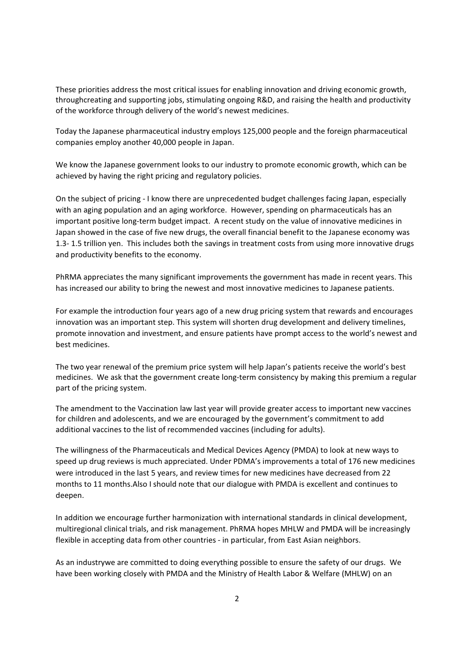These priorities address the most critical issues for enabling innovation and driving economic growth, throughcreating and supporting jobs, stimulating ongoing R&D, and raising the health and productivity of the workforce through delivery of the world's newest medicines.

Today the Japanese pharmaceutical industry employs 125,000 people and the foreign pharmaceutical companies employ another 40,000 people in Japan.

We know the Japanese government looks to our industry to promote economic growth, which can be achieved by having the right pricing and regulatory policies.

On the subject of pricing - I know there are unprecedented budget challenges facing Japan, especially with an aging population and an aging workforce. However, spending on pharmaceuticals has an important positive long-term budget impact. A recent study on the value of innovative medicines in Japan showed in the case of five new drugs, the overall financial benefit to the Japanese economy was 1.3- 1.5 trillion yen. This includes both the savings in treatment costs from using more innovative drugs and productivity benefits to the economy.

PhRMA appreciates the many significant improvements the government has made in recent years. This has increased our ability to bring the newest and most innovative medicines to Japanese patients.

For example the introduction four years ago of a new drug pricing system that rewards and encourages innovation was an important step. This system will shorten drug development and delivery timelines, promote innovation and investment, and ensure patients have prompt access to the world's newest and best medicines.

The two year renewal of the premium price system will help Japan's patients receive the world's best medicines. We ask that the government create long-term consistency by making this premium a regular part of the pricing system.

The amendment to the Vaccination law last year will provide greater access to important new vaccines for children and adolescents, and we are encouraged by the government's commitment to add additional vaccines to the list of recommended vaccines (including for adults).

The willingness of the Pharmaceuticals and Medical Devices Agency (PMDA) to look at new ways to speed up drug reviews is much appreciated. Under PDMA's improvements a total of 176 new medicines were introduced in the last 5 years, and review times for new medicines have decreased from 22 months to 11 months.Also I should note that our dialogue with PMDA is excellent and continues to deepen.

In addition we encourage further harmonization with international standards in clinical development, multiregional clinical trials, and risk management. PhRMA hopes MHLW and PMDA will be increasingly flexible in accepting data from other countries - in particular, from East Asian neighbors.

As an industrywe are committed to doing everything possible to ensure the safety of our drugs. We have been working closely with PMDA and the Ministry of Health Labor & Welfare (MHLW) on an